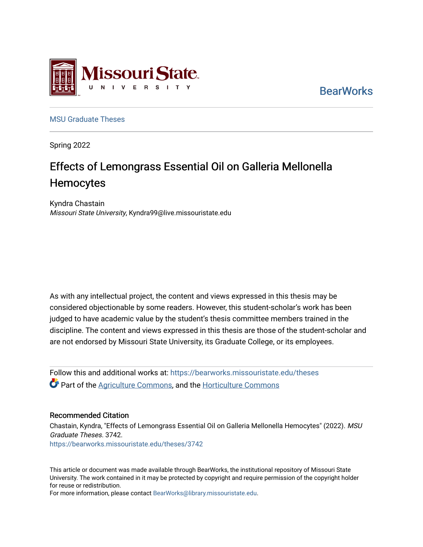

**BearWorks** 

[MSU Graduate Theses](https://bearworks.missouristate.edu/theses) 

Spring 2022

# Effects of Lemongrass Essential Oil on Galleria Mellonella **Hemocytes**

Kyndra Chastain Missouri State University, Kyndra99@live.missouristate.edu

As with any intellectual project, the content and views expressed in this thesis may be considered objectionable by some readers. However, this student-scholar's work has been judged to have academic value by the student's thesis committee members trained in the discipline. The content and views expressed in this thesis are those of the student-scholar and are not endorsed by Missouri State University, its Graduate College, or its employees.

Follow this and additional works at: [https://bearworks.missouristate.edu/theses](https://bearworks.missouristate.edu/theses?utm_source=bearworks.missouristate.edu%2Ftheses%2F3742&utm_medium=PDF&utm_campaign=PDFCoverPages)  **C** Part of the [Agriculture Commons](https://network.bepress.com/hgg/discipline/1076?utm_source=bearworks.missouristate.edu%2Ftheses%2F3742&utm_medium=PDF&utm_campaign=PDFCoverPages), and the Horticulture Commons

### Recommended Citation

Chastain, Kyndra, "Effects of Lemongrass Essential Oil on Galleria Mellonella Hemocytes" (2022). MSU Graduate Theses. 3742. [https://bearworks.missouristate.edu/theses/3742](https://bearworks.missouristate.edu/theses/3742?utm_source=bearworks.missouristate.edu%2Ftheses%2F3742&utm_medium=PDF&utm_campaign=PDFCoverPages) 

This article or document was made available through BearWorks, the institutional repository of Missouri State University. The work contained in it may be protected by copyright and require permission of the copyright holder for reuse or redistribution.

For more information, please contact [BearWorks@library.missouristate.edu.](mailto:BearWorks@library.missouristate.edu)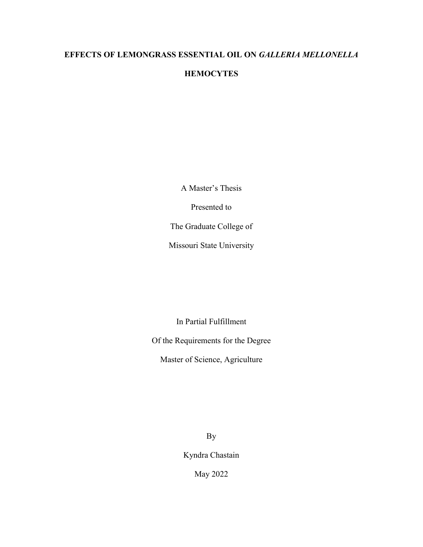# **EFFECTS OF LEMONGRASS ESSENTIAL OIL ON** *GALLERIA MELLONELLA*

# **HEMOCYTES**

A Master's Thesis

Presented to

The Graduate College of

Missouri State University

In Partial Fulfillment

Of the Requirements for the Degree

Master of Science, Agriculture

By

Kyndra Chastain

May 2022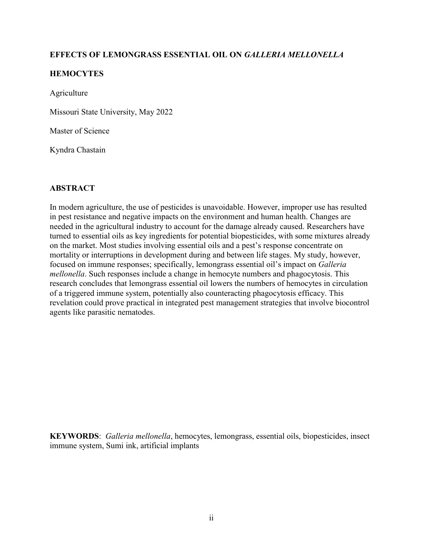# **EFFECTS OF LEMONGRASS ESSENTIAL OIL ON** *GALLERIA MELLONELLA*

# **HEMOCYTES**

Agriculture

Missouri State University, May 2022

Master of Science

Kyndra Chastain

# **ABSTRACT**

In modern agriculture, the use of pesticides is unavoidable. However, improper use has resulted in pest resistance and negative impacts on the environment and human health. Changes are needed in the agricultural industry to account for the damage already caused. Researchers have turned to essential oils as key ingredients for potential biopesticides, with some mixtures already on the market. Most studies involving essential oils and a pest's response concentrate on mortality or interruptions in development during and between life stages. My study, however, focused on immune responses; specifically, lemongrass essential oil's impact on *Galleria mellonella*. Such responses include a change in hemocyte numbers and phagocytosis. This research concludes that lemongrass essential oil lowers the numbers of hemocytes in circulation of a triggered immune system, potentially also counteracting phagocytosis efficacy. This revelation could prove practical in integrated pest management strategies that involve biocontrol agents like parasitic nematodes.

**KEYWORDS**: *Galleria mellonella*, hemocytes, lemongrass, essential oils, biopesticides, insect immune system, Sumi ink, artificial implants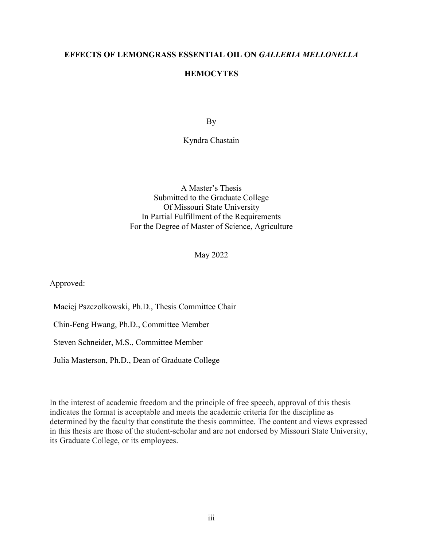### **EFFECTS OF LEMONGRASS ESSENTIAL OIL ON** *GALLERIA MELLONELLA*

## **HEMOCYTES**

By

Kyndra Chastain

A Master's Thesis Submitted to the Graduate College Of Missouri State University In Partial Fulfillment of the Requirements For the Degree of Master of Science, Agriculture

May 2022

Approved:

Maciej Pszczolkowski, Ph.D., Thesis Committee Chair

Chin-Feng Hwang, Ph.D., Committee Member

Steven Schneider, M.S., Committee Member

Julia Masterson, Ph.D., Dean of Graduate College

In the interest of academic freedom and the principle of free speech, approval of this thesis indicates the format is acceptable and meets the academic criteria for the discipline as determined by the faculty that constitute the thesis committee. The content and views expressed in this thesis are those of the student-scholar and are not endorsed by Missouri State University, its Graduate College, or its employees.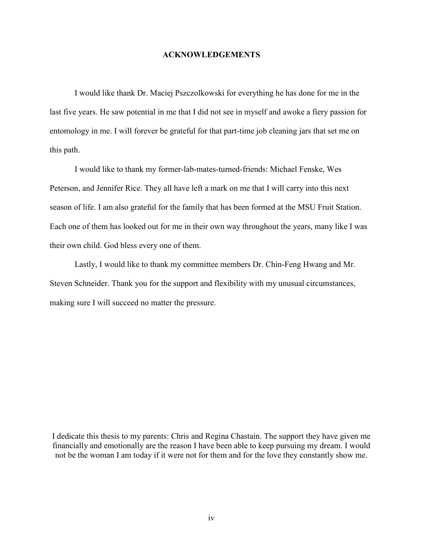#### **ACKNOWLEDGEMENTS**

I would like thank Dr. Maciej Pszczolkowski for everything he has done for me in the last five years. He saw potential in me that I did not see in myself and awoke a fiery passion for entomology in me. I will forever be grateful for that part-time job cleaning jars that set me on this path.

I would like to thank my former-lab-mates-turned-friends: Michael Fenske, Wes Peterson, and Jennifer Rice. They all have left a mark on me that I will carry into this next season of life. I am also grateful for the family that has been formed at the MSU Fruit Station. Each one of them has looked out for me in their own way throughout the years, many like I was their own child. God bless every one of them.

Lastly, I would like to thank my committee members Dr. Chin-Feng Hwang and Mr. Steven Schneider. Thank you for the support and flexibility with my unusual circumstances, making sure I will succeed no matter the pressure.

I dedicate this thesis to my parents: Chris and Regina Chastain. The support they have given me financially and emotionally are the reason I have been able to keep pursuing my dream. I would not be the woman I am today if it were not for them and for the love they constantly show me.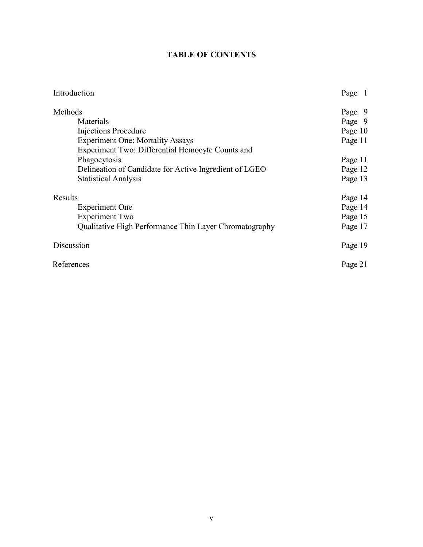# **TABLE OF CONTENTS**

| Introduction                                           | Page 1  |
|--------------------------------------------------------|---------|
| Methods                                                | Page 9  |
| Materials                                              | Page 9  |
| Injections Procedure                                   | Page 10 |
| <b>Experiment One: Mortality Assays</b>                | Page 11 |
| Experiment Two: Differential Hemocyte Counts and       |         |
| Phagocytosis                                           | Page 11 |
| Delineation of Candidate for Active Ingredient of LGEO | Page 12 |
| <b>Statistical Analysis</b>                            | Page 13 |
| Results                                                | Page 14 |
| <b>Experiment One</b>                                  | Page 14 |
| <b>Experiment Two</b>                                  | Page 15 |
| Qualitative High Performance Thin Layer Chromatography | Page 17 |
| Discussion                                             | Page 19 |
| References                                             |         |
|                                                        |         |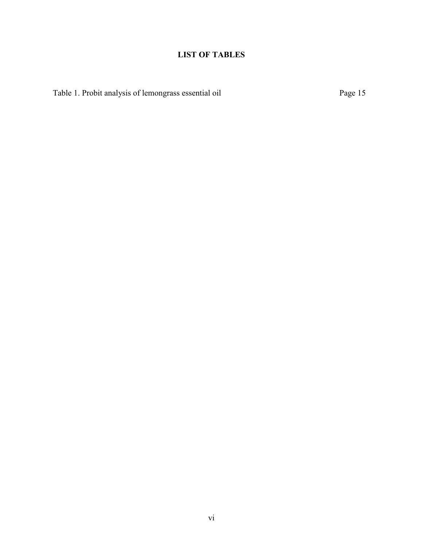# **LIST OF TABLES**

Table 1. Probit analysis of lemongrass essential oil Page 15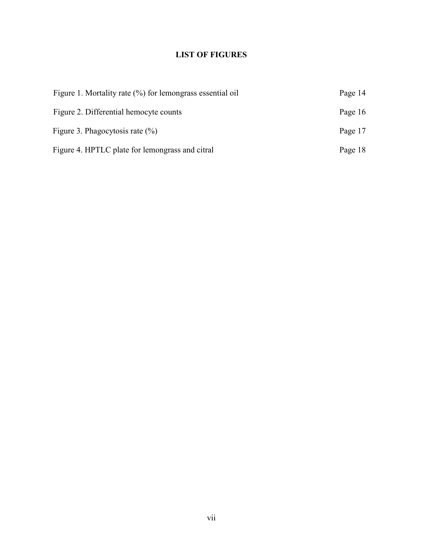# **LIST OF FIGURES**

| Figure 1. Mortality rate $(\%)$ for lemongrass essential oil | Page 14 |
|--------------------------------------------------------------|---------|
| Figure 2. Differential hemocyte counts                       | Page 16 |
| Figure 3. Phagocytosis rate $(\%)$                           | Page 17 |
| Figure 4. HPTLC plate for lemongrass and citral              | Page 18 |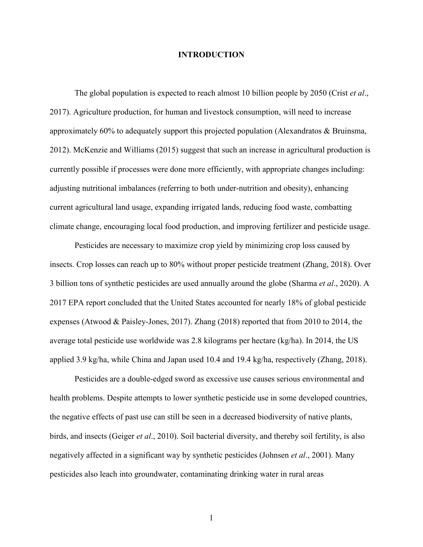#### **INTRODUCTION**

The global population is expected to reach almost 10 billion people by 2050 (Crist *et al*., 2017). Agriculture production, for human and livestock consumption, will need to increase approximately 60% to adequately support this projected population (Alexandratos & Bruinsma, 2012). McKenzie and Williams (2015) suggest that such an increase in agricultural production is currently possible if processes were done more efficiently, with appropriate changes including: adjusting nutritional imbalances (referring to both under-nutrition and obesity), enhancing current agricultural land usage, expanding irrigated lands, reducing food waste, combatting climate change, encouraging local food production, and improving fertilizer and pesticide usage.

Pesticides are necessary to maximize crop yield by minimizing crop loss caused by insects. Crop losses can reach up to 80% without proper pesticide treatment (Zhang, 2018). Over 3 billion tons of synthetic pesticides are used annually around the globe (Sharma *et al*., 2020). A 2017 EPA report concluded that the United States accounted for nearly 18% of global pesticide expenses (Atwood & Paisley-Jones, 2017). Zhang (2018) reported that from 2010 to 2014, the average total pesticide use worldwide was 2.8 kilograms per hectare (kg/ha). In 2014, the US applied 3.9 kg/ha, while China and Japan used 10.4 and 19.4 kg/ha, respectively (Zhang, 2018).

Pesticides are a double-edged sword as excessive use causes serious environmental and health problems. Despite attempts to lower synthetic pesticide use in some developed countries, the negative effects of past use can still be seen in a decreased biodiversity of native plants, birds, and insects (Geiger *et al*., 2010). Soil bacterial diversity, and thereby soil fertility, is also negatively affected in a significant way by synthetic pesticides (Johnsen *et al*., 2001). Many pesticides also leach into groundwater, contaminating drinking water in rural areas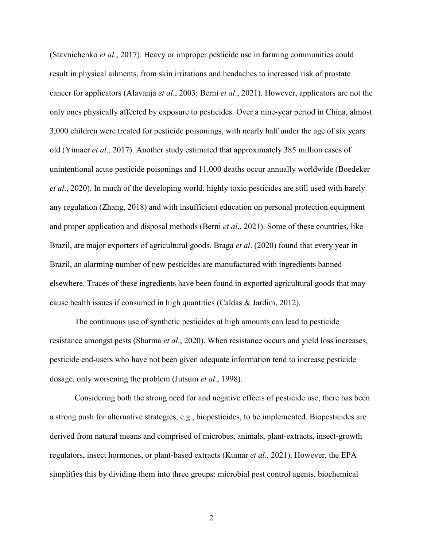(Stavnichenko *et al*., 2017). Heavy or improper pesticide use in farming communities could result in physical ailments, from skin irritations and headaches to increased risk of prostate cancer for applicators (Alavanja *et al*., 2003; Berni *et al*., 2021). However, applicators are not the only ones physically affected by exposure to pesticides. Over a nine-year period in China, almost 3,000 children were treated for pesticide poisonings, with nearly half under the age of six years old (Yimaer *et al*., 2017). Another study estimated that approximately 385 million cases of unintentional acute pesticide poisonings and 11,000 deaths occur annually worldwide (Boedeker *et al*., 2020). In much of the developing world, highly toxic pesticides are still used with barely any regulation (Zhang, 2018) and with insufficient education on personal protection equipment and proper application and disposal methods (Berni *et al*., 2021). Some of these countries, like Brazil, are major exporters of agricultural goods. Braga *et al*. (2020) found that every year in Brazil, an alarming number of new pesticides are manufactured with ingredients banned elsewhere. Traces of these ingredients have been found in exported agricultural goods that may cause health issues if consumed in high quantities (Caldas & Jardim, 2012).

The continuous use of synthetic pesticides at high amounts can lead to pesticide resistance amongst pests (Sharma *et al*., 2020). When resistance occurs and yield loss increases, pesticide end-users who have not been given adequate information tend to increase pesticide dosage, only worsening the problem (Jutsum *et al*., 1998).

Considering both the strong need for and negative effects of pesticide use, there has been a strong push for alternative strategies, e.g., biopesticides, to be implemented. Biopesticides are derived from natural means and comprised of microbes, animals, plant-extracts, insect-growth regulators, insect hormones, or plant-based extracts (Kumar *et al*., 2021). However, the EPA simplifies this by dividing them into three groups: microbial pest control agents, biochemical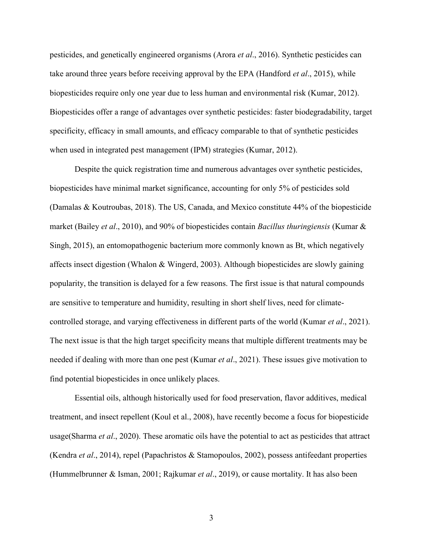pesticides, and genetically engineered organisms (Arora *et al*., 2016). Synthetic pesticides can take around three years before receiving approval by the EPA (Handford *et al*., 2015), while biopesticides require only one year due to less human and environmental risk (Kumar, 2012). Biopesticides offer a range of advantages over synthetic pesticides: faster biodegradability, target specificity, efficacy in small amounts, and efficacy comparable to that of synthetic pesticides when used in integrated pest management (IPM) strategies (Kumar, 2012).

Despite the quick registration time and numerous advantages over synthetic pesticides, biopesticides have minimal market significance, accounting for only 5% of pesticides sold (Damalas & Koutroubas, 2018). The US, Canada, and Mexico constitute 44% of the biopesticide market (Bailey *et al*., 2010), and 90% of biopesticides contain *Bacillus thuringiensis* (Kumar & Singh, 2015), an entomopathogenic bacterium more commonly known as Bt, which negatively affects insect digestion (Whalon & Wingerd, 2003). Although biopesticides are slowly gaining popularity, the transition is delayed for a few reasons. The first issue is that natural compounds are sensitive to temperature and humidity, resulting in short shelf lives, need for climatecontrolled storage, and varying effectiveness in different parts of the world (Kumar *et al*., 2021). The next issue is that the high target specificity means that multiple different treatments may be needed if dealing with more than one pest (Kumar *et al*., 2021). These issues give motivation to find potential biopesticides in once unlikely places.

Essential oils, although historically used for food preservation, flavor additives, medical treatment, and insect repellent (Koul et al., 2008), have recently become a focus for biopesticide usage(Sharma *et al*., 2020). These aromatic oils have the potential to act as pesticides that attract (Kendra *et al*., 2014), repel (Papachristos & Stamopoulos, 2002), possess antifeedant properties (Hummelbrunner & Isman, 2001; Rajkumar *et al*., 2019), or cause mortality. It has also been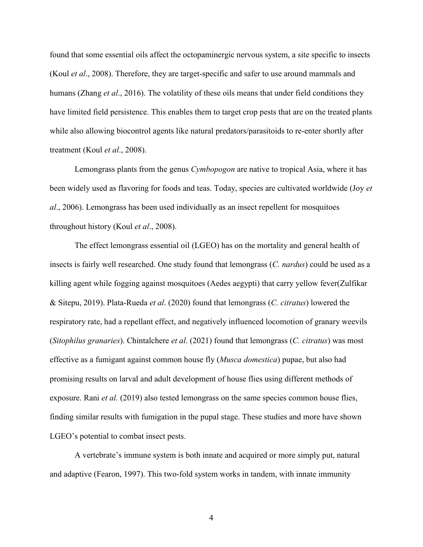found that some essential oils affect the octopaminergic nervous system, a site specific to insects (Koul *et al*., 2008). Therefore, they are target-specific and safer to use around mammals and humans (Zhang *et al*., 2016). The volatility of these oils means that under field conditions they have limited field persistence. This enables them to target crop pests that are on the treated plants while also allowing biocontrol agents like natural predators/parasitoids to re-enter shortly after treatment (Koul *et al*., 2008).

Lemongrass plants from the genus *Cymbopogon* are native to tropical Asia, where it has been widely used as flavoring for foods and teas. Today, species are cultivated worldwide (Joy *et al*., 2006). Lemongrass has been used individually as an insect repellent for mosquitoes throughout history (Koul *et al*., 2008).

The effect lemongrass essential oil (LGEO) has on the mortality and general health of insects is fairly well researched. One study found that lemongrass (*C. nardus*) could be used as a killing agent while fogging against mosquitoes (Aedes aegypti) that carry yellow fever(Zulfikar & Sitepu, 2019). Plata-Rueda *et al*. (2020) found that lemongrass (*C. citratus*) lowered the respiratory rate, had a repellant effect, and negatively influenced locomotion of granary weevils (*Sitophilus granaries*). Chintalchere *et al*. (2021) found that lemongrass (*C. citratus*) was most effective as a fumigant against common house fly (*Musca domestica*) pupae, but also had promising results on larval and adult development of house flies using different methods of exposure. Rani *et al.* (2019) also tested lemongrass on the same species common house flies, finding similar results with fumigation in the pupal stage. These studies and more have shown LGEO's potential to combat insect pests.

A vertebrate's immune system is both innate and acquired or more simply put, natural and adaptive (Fearon, 1997). This two-fold system works in tandem, with innate immunity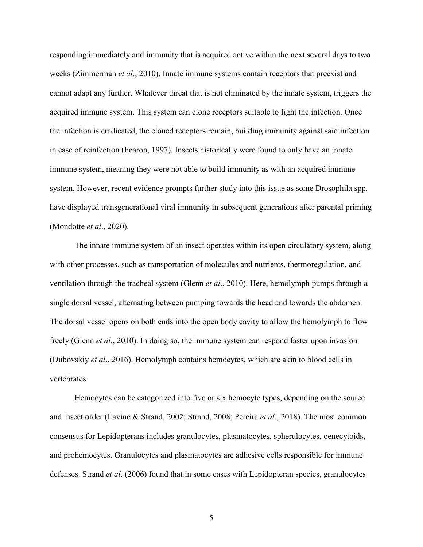responding immediately and immunity that is acquired active within the next several days to two weeks (Zimmerman *et al*., 2010). Innate immune systems contain receptors that preexist and cannot adapt any further. Whatever threat that is not eliminated by the innate system, triggers the acquired immune system. This system can clone receptors suitable to fight the infection. Once the infection is eradicated, the cloned receptors remain, building immunity against said infection in case of reinfection (Fearon, 1997). Insects historically were found to only have an innate immune system, meaning they were not able to build immunity as with an acquired immune system. However, recent evidence prompts further study into this issue as some Drosophila spp. have displayed transgenerational viral immunity in subsequent generations after parental priming (Mondotte *et al*., 2020).

The innate immune system of an insect operates within its open circulatory system, along with other processes, such as transportation of molecules and nutrients, thermoregulation, and ventilation through the tracheal system (Glenn *et al*., 2010). Here, hemolymph pumps through a single dorsal vessel, alternating between pumping towards the head and towards the abdomen. The dorsal vessel opens on both ends into the open body cavity to allow the hemolymph to flow freely (Glenn *et al*., 2010). In doing so, the immune system can respond faster upon invasion (Dubovskiy *et al*., 2016). Hemolymph contains hemocytes, which are akin to blood cells in vertebrates.

Hemocytes can be categorized into five or six hemocyte types, depending on the source and insect order (Lavine & Strand, 2002; Strand, 2008; Pereira *et al*., 2018). The most common consensus for Lepidopterans includes granulocytes, plasmatocytes, spherulocytes, oenecytoids, and prohemocytes. Granulocytes and plasmatocytes are adhesive cells responsible for immune defenses. Strand *et al*. (2006) found that in some cases with Lepidopteran species, granulocytes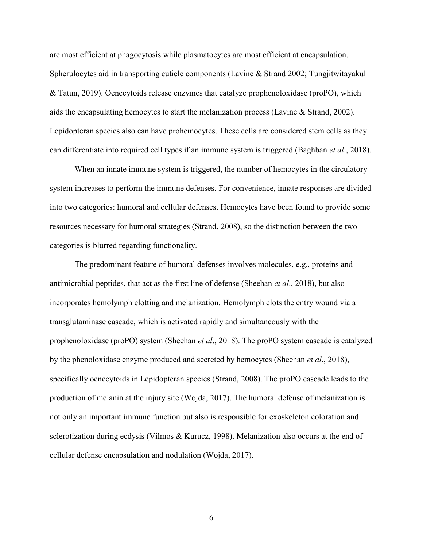are most efficient at phagocytosis while plasmatocytes are most efficient at encapsulation. Spherulocytes aid in transporting cuticle components (Lavine & Strand 2002; Tungjitwitayakul & Tatun, 2019). Oenecytoids release enzymes that catalyze prophenoloxidase (proPO), which aids the encapsulating hemocytes to start the melanization process (Lavine & Strand, 2002). Lepidopteran species also can have prohemocytes. These cells are considered stem cells as they can differentiate into required cell types if an immune system is triggered (Baghban *et al*., 2018).

When an innate immune system is triggered, the number of hemocytes in the circulatory system increases to perform the immune defenses. For convenience, innate responses are divided into two categories: humoral and cellular defenses. Hemocytes have been found to provide some resources necessary for humoral strategies (Strand, 2008), so the distinction between the two categories is blurred regarding functionality.

The predominant feature of humoral defenses involves molecules, e.g., proteins and antimicrobial peptides, that act as the first line of defense (Sheehan *et al*., 2018), but also incorporates hemolymph clotting and melanization. Hemolymph clots the entry wound via a transglutaminase cascade, which is activated rapidly and simultaneously with the prophenoloxidase (proPO) system (Sheehan *et al*., 2018). The proPO system cascade is catalyzed by the phenoloxidase enzyme produced and secreted by hemocytes (Sheehan *et al*., 2018), specifically oenecytoids in Lepidopteran species (Strand, 2008). The proPO cascade leads to the production of melanin at the injury site (Wojda, 2017). The humoral defense of melanization is not only an important immune function but also is responsible for exoskeleton coloration and sclerotization during ecdysis (Vilmos & Kurucz, 1998). Melanization also occurs at the end of cellular defense encapsulation and nodulation (Wojda, 2017).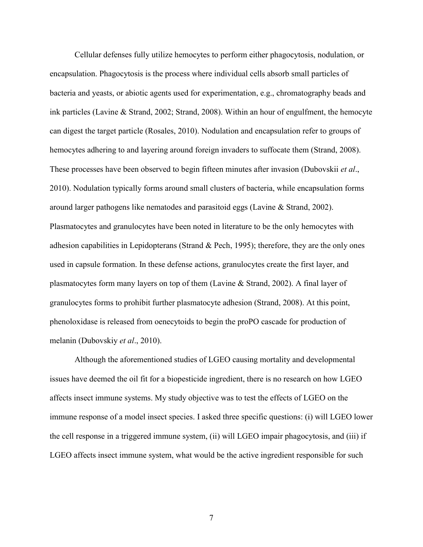Cellular defenses fully utilize hemocytes to perform either phagocytosis, nodulation, or encapsulation. Phagocytosis is the process where individual cells absorb small particles of bacteria and yeasts, or abiotic agents used for experimentation, e.g., chromatography beads and ink particles (Lavine & Strand, 2002; Strand, 2008). Within an hour of engulfment, the hemocyte can digest the target particle (Rosales, 2010). Nodulation and encapsulation refer to groups of hemocytes adhering to and layering around foreign invaders to suffocate them (Strand, 2008). These processes have been observed to begin fifteen minutes after invasion (Dubovskii *et al*., 2010). Nodulation typically forms around small clusters of bacteria, while encapsulation forms around larger pathogens like nematodes and parasitoid eggs (Lavine & Strand, 2002). Plasmatocytes and granulocytes have been noted in literature to be the only hemocytes with adhesion capabilities in Lepidopterans (Strand & Pech, 1995); therefore, they are the only ones used in capsule formation. In these defense actions, granulocytes create the first layer, and plasmatocytes form many layers on top of them (Lavine & Strand, 2002). A final layer of granulocytes forms to prohibit further plasmatocyte adhesion (Strand, 2008). At this point, phenoloxidase is released from oenecytoids to begin the proPO cascade for production of melanin (Dubovskiy *et al*., 2010).

Although the aforementioned studies of LGEO causing mortality and developmental issues have deemed the oil fit for a biopesticide ingredient, there is no research on how LGEO affects insect immune systems. My study objective was to test the effects of LGEO on the immune response of a model insect species. I asked three specific questions: (i) will LGEO lower the cell response in a triggered immune system, (ii) will LGEO impair phagocytosis, and (iii) if LGEO affects insect immune system, what would be the active ingredient responsible for such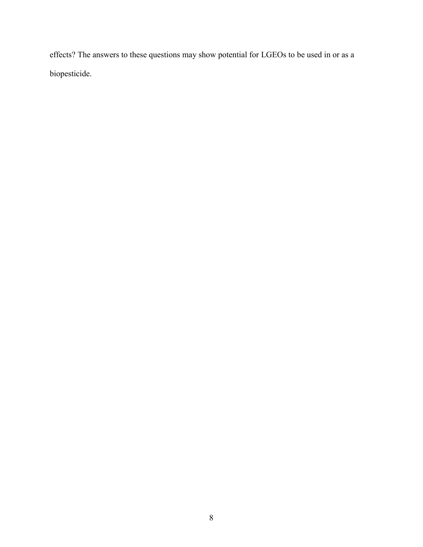effects? The answers to these questions may show potential for LGEOs to be used in or as a biopesticide.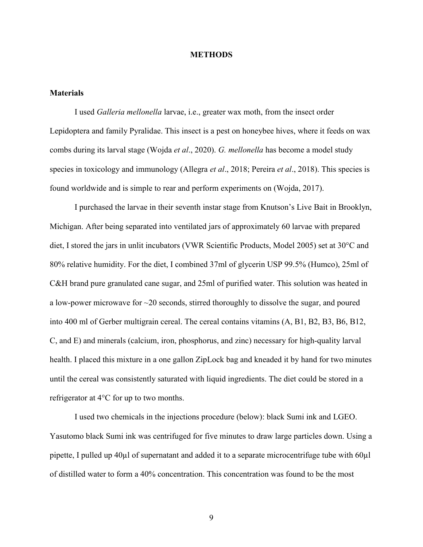#### **METHODS**

#### **Materials**

I used *Galleria mellonella* larvae, i.e., greater wax moth, from the insect order Lepidoptera and family Pyralidae. This insect is a pest on honeybee hives, where it feeds on wax combs during its larval stage (Wojda *et al*., 2020). *G. mellonella* has become a model study species in toxicology and immunology (Allegra *et al*., 2018; Pereira *et al*., 2018). This species is found worldwide and is simple to rear and perform experiments on (Wojda, 2017).

I purchased the larvae in their seventh instar stage from Knutson's Live Bait in Brooklyn, Michigan. After being separated into ventilated jars of approximately 60 larvae with prepared diet, I stored the jars in unlit incubators (VWR Scientific Products, Model 2005) set at 30°C and 80% relative humidity. For the diet, I combined 37ml of glycerin USP 99.5% (Humco), 25ml of C&H brand pure granulated cane sugar, and 25ml of purified water. This solution was heated in a low-power microwave for ~20 seconds, stirred thoroughly to dissolve the sugar, and poured into 400 ml of Gerber multigrain cereal. The cereal contains vitamins (A, B1, B2, B3, B6, B12, C, and E) and minerals (calcium, iron, phosphorus, and zinc) necessary for high-quality larval health. I placed this mixture in a one gallon ZipLock bag and kneaded it by hand for two minutes until the cereal was consistently saturated with liquid ingredients. The diet could be stored in a refrigerator at 4°C for up to two months.

I used two chemicals in the injections procedure (below): black Sumi ink and LGEO. Yasutomo black Sumi ink was centrifuged for five minutes to draw large particles down. Using a pipette, I pulled up 40µl of supernatant and added it to a separate microcentrifuge tube with 60µl of distilled water to form a 40% concentration. This concentration was found to be the most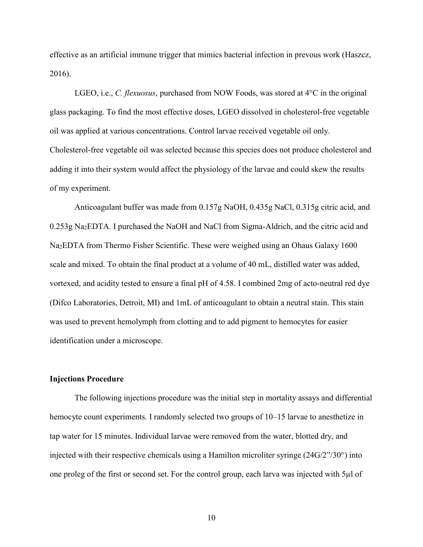effective as an artificial immune trigger that mimics bacterial infection in prevous work (Haszcz, 2016).

LGEO, i.e., *C. flexuosus*, purchased from NOW Foods, was stored at 4°C in the original glass packaging. To find the most effective doses, LGEO dissolved in cholesterol-free vegetable oil was applied at various concentrations. Control larvae received vegetable oil only. Cholesterol-free vegetable oil was selected because this species does not produce cholesterol and adding it into their system would affect the physiology of the larvae and could skew the results of my experiment.

Anticoagulant buffer was made from 0.157g NaOH, 0.435g NaCl, 0.315g citric acid, and 0.253g Na2EDTA. I purchased the NaOH and NaCl from Sigma-Aldrich, and the citric acid and Na2EDTA from Thermo Fisher Scientific. These were weighed using an Ohaus Galaxy 1600 scale and mixed. To obtain the final product at a volume of 40 mL, distilled water was added, vortexed, and acidity tested to ensure a final pH of 4.58. I combined 2mg of acto-neutral red dye (Difco Laboratories, Detroit, MI) and 1mL of anticoagulant to obtain a neutral stain. This stain was used to prevent hemolymph from clotting and to add pigment to hemocytes for easier identification under a microscope.

#### **Injections Procedure**

The following injections procedure was the initial step in mortality assays and differential hemocyte count experiments. I randomly selected two groups of 10–15 larvae to anesthetize in tap water for 15 minutes. Individual larvae were removed from the water, blotted dry, and injected with their respective chemicals using a Hamilton microliter syringe (24G/2"/30°) into one proleg of the first or second set. For the control group, each larva was injected with 5µl of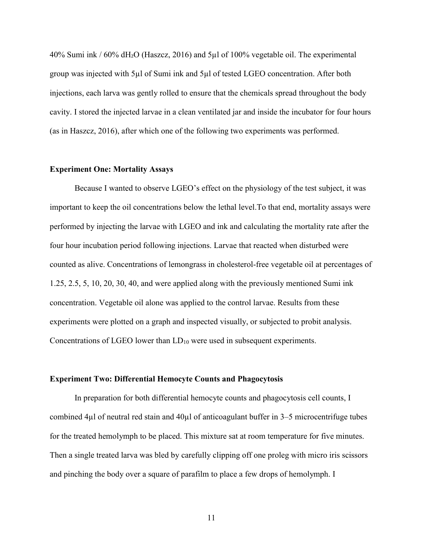$40\%$  Sumi ink /  $60\%$  dH<sub>2</sub>O (Haszcz, 2016) and 5µl of 100% vegetable oil. The experimental group was injected with 5µl of Sumi ink and 5µl of tested LGEO concentration. After both injections, each larva was gently rolled to ensure that the chemicals spread throughout the body cavity. I stored the injected larvae in a clean ventilated jar and inside the incubator for four hours (as in Haszcz, 2016), after which one of the following two experiments was performed.

#### **Experiment One: Mortality Assays**

Because I wanted to observe LGEO's effect on the physiology of the test subject, it was important to keep the oil concentrations below the lethal level.To that end, mortality assays were performed by injecting the larvae with LGEO and ink and calculating the mortality rate after the four hour incubation period following injections. Larvae that reacted when disturbed were counted as alive. Concentrations of lemongrass in cholesterol-free vegetable oil at percentages of 1.25, 2.5, 5, 10, 20, 30, 40, and were applied along with the previously mentioned Sumi ink concentration. Vegetable oil alone was applied to the control larvae. Results from these experiments were plotted on a graph and inspected visually, or subjected to probit analysis. Concentrations of LGEO lower than LD<sup>10</sup> were used in subsequent experiments.

#### **Experiment Two: Differential Hemocyte Counts and Phagocytosis**

In preparation for both differential hemocyte counts and phagocytosis cell counts, I combined 4 $\mu$ l of neutral red stain and 40 $\mu$ l of anticoagulant buffer in 3–5 microcentrifuge tubes for the treated hemolymph to be placed. This mixture sat at room temperature for five minutes. Then a single treated larva was bled by carefully clipping off one proleg with micro iris scissors and pinching the body over a square of parafilm to place a few drops of hemolymph. I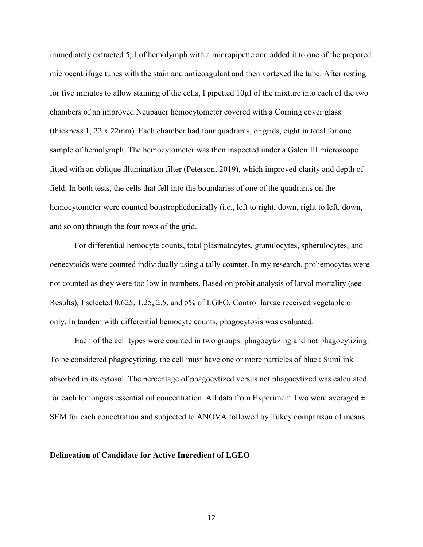immediately extracted 5µl of hemolymph with a micropipette and added it to one of the prepared microcentrifuge tubes with the stain and anticoagulant and then vortexed the tube. After resting for five minutes to allow staining of the cells, I pipetted  $10\mu$  of the mixture into each of the two chambers of an improved Neubauer hemocytometer covered with a Corning cover glass (thickness 1, 22 x 22mm). Each chamber had four quadrants, or grids, eight in total for one sample of hemolymph. The hemocytometer was then inspected under a Galen III microscope fitted with an oblique illumination filter (Peterson, 2019), which improved clarity and depth of field. In both tests, the cells that fell into the boundaries of one of the quadrants on the hemocytometer were counted boustrophedonically (i.e., left to right, down, right to left, down, and so on) through the four rows of the grid.

For differential hemocyte counts, total plasmatocytes, granulocytes, spherulocytes, and oenecytoids were counted individually using a tally counter. In my research, prohemocytes were not counted as they were too low in numbers. Based on probit analysis of larval mortality (see Results), I selected 0.625, 1.25, 2.5, and 5% of LGEO. Control larvae received vegetable oil only. In tandem with differential hemocyte counts, phagocytosis was evaluated.

Each of the cell types were counted in two groups: phagocytizing and not phagocytizing. To be considered phagocytizing, the cell must have one or more particles of black Sumi ink absorbed in its cytosol. The percentage of phagocytized versus not phagocytized was calculated for each lemongras essential oil concentration. All data from Experiment Two were averaged  $\pm$ SEM for each concetration and subjected to ANOVA followed by Tukey comparison of means.

#### **Delineation of Candidate for Active Ingredient of LGEO**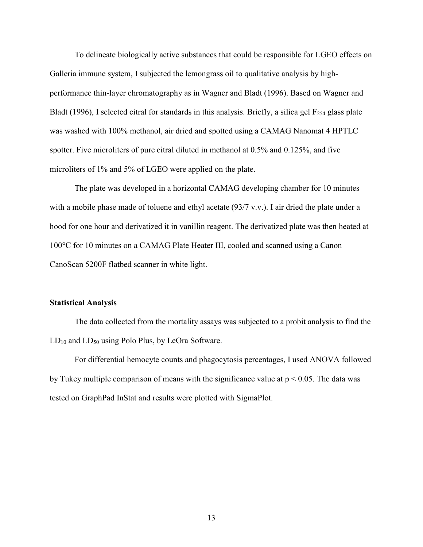To delineate biologically active substances that could be responsible for LGEO effects on Galleria immune system, I subjected the lemongrass oil to qualitative analysis by highperformance thin-layer chromatography as in Wagner and Bladt (1996). Based on Wagner and Bladt (1996), I selected citral for standards in this analysis. Briefly, a silica gel  $F<sub>254</sub>$  glass plate was washed with 100% methanol, air dried and spotted using a CAMAG Nanomat 4 HPTLC spotter. Five microliters of pure citral diluted in methanol at 0.5% and 0.125%, and five microliters of 1% and 5% of LGEO were applied on the plate.

The plate was developed in a horizontal CAMAG developing chamber for 10 minutes with a mobile phase made of toluene and ethyl acetate (93/7 v.v.). I air dried the plate under a hood for one hour and derivatized it in vanillin reagent. The derivatized plate was then heated at 100°C for 10 minutes on a CAMAG Plate Heater III, cooled and scanned using a Canon CanoScan 5200F flatbed scanner in white light.

#### **Statistical Analysis**

The data collected from the mortality assays was subjected to a probit analysis to find the  $LD_{10}$  and  $LD_{50}$  using Polo Plus, by LeOra Software.

For differential hemocyte counts and phagocytosis percentages, I used ANOVA followed by Tukey multiple comparison of means with the significance value at  $p < 0.05$ . The data was tested on GraphPad InStat and results were plotted with SigmaPlot.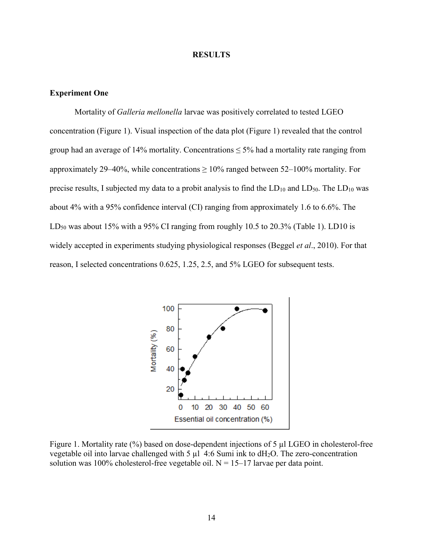#### **RESULTS**

#### **Experiment One**

Mortality of *Galleria mellonella* larvae was positively correlated to tested LGEO concentration (Figure 1). Visual inspection of the data plot (Figure 1) revealed that the control group had an average of 14% mortality. Concentrations  $\leq$  5% had a mortality rate ranging from approximately 29–40%, while concentrations  $\geq 10\%$  ranged between 52–100% mortality. For precise results, I subjected my data to a probit analysis to find the  $LD_{10}$  and  $LD_{50}$ . The  $LD_{10}$  was about 4% with a 95% confidence interval (CI) ranging from approximately 1.6 to 6.6%. The  $LD_{50}$  was about 15% with a 95% CI ranging from roughly 10.5 to 20.3% (Table 1). LD10 is widely accepted in experiments studying physiological responses (Beggel *et al*., 2010). For that reason, I selected concentrations 0.625, 1.25, 2.5, and 5% LGEO for subsequent tests.



Figure 1. Mortality rate (%) based on dose-dependent injections of 5 µl LGEO in cholesterol-free vegetable oil into larvae challenged with 5  $\mu$ l 4:6 Sumi ink to dH<sub>2</sub>O. The zero-concentration solution was 100% cholesterol-free vegetable oil.  $N = 15-17$  larvae per data point.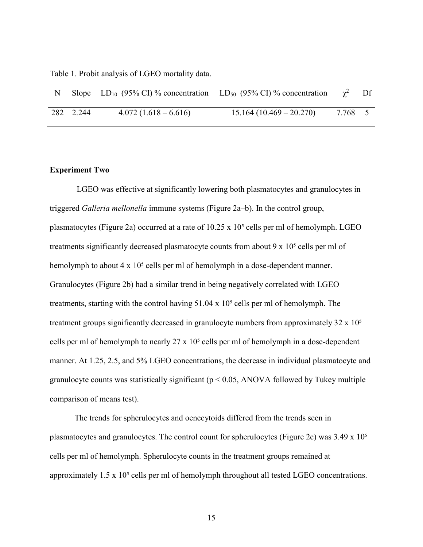Table 1. Probit analysis of LGEO mortality data.

|           | Slope LD <sub>10</sub> (95% CI) % concentration LD <sub>50</sub> (95% CI) % concentration |                           |       | Df |
|-----------|-------------------------------------------------------------------------------------------|---------------------------|-------|----|
| 282 2.244 | $4.072(1.618-6.616)$                                                                      | $15.164(10.469 - 20.270)$ | 7.768 |    |

#### **Experiment Two**

LGEO was effective at significantly lowering both plasmatocytes and granulocytes in triggered *Galleria mellonella* immune systems (Figure 2a–b). In the control group, plasmatocytes (Figure 2a) occurred at a rate of  $10.25 \times 10^5$  cells per ml of hemolymph. LGEO treatments significantly decreased plasmatocyte counts from about  $9 \times 10^5$  cells per ml of hemolymph to about  $4 \times 10^5$  cells per ml of hemolymph in a dose-dependent manner. Granulocytes (Figure 2b) had a similar trend in being negatively correlated with LGEO treatments, starting with the control having  $51.04 \times 10^5$  cells per ml of hemolymph. The treatment groups significantly decreased in granulocyte numbers from approximately  $32 \times 10<sup>5</sup>$ cells per ml of hemolymph to nearly  $27 \times 10^5$  cells per ml of hemolymph in a dose-dependent manner. At 1.25, 2.5, and 5% LGEO concentrations, the decrease in individual plasmatocyte and granulocyte counts was statistically significant ( $p < 0.05$ , ANOVA followed by Tukey multiple comparison of means test).

The trends for spherulocytes and oenecytoids differed from the trends seen in plasmatocytes and granulocytes. The control count for spherulocytes (Figure 2c) was  $3.49 \times 10^{5}$ cells per ml of hemolymph. Spherulocyte counts in the treatment groups remained at approximately  $1.5 \times 10^5$  cells per ml of hemolymph throughout all tested LGEO concentrations.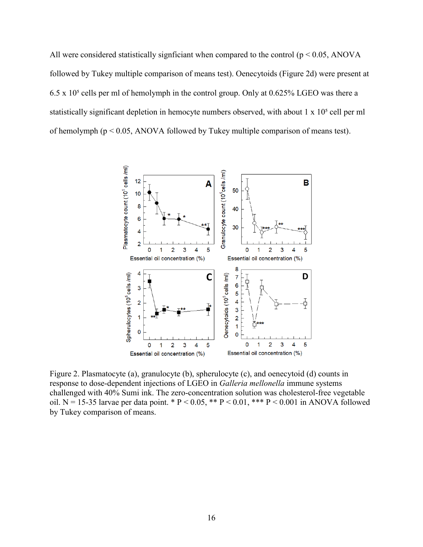All were considered statistically signficiant when compared to the control ( $p < 0.05$ , ANOVA followed by Tukey multiple comparison of means test). Oenecytoids (Figure 2d) were present at 6.5 x  $10<sup>5</sup>$  cells per ml of hemolymph in the control group. Only at 0.625% LGEO was there a statistically significant depletion in hemocyte numbers observed, with about  $1 \times 10^5$  cell per ml of hemolymph (p < 0.05, ANOVA followed by Tukey multiple comparison of means test).



Figure 2. Plasmatocyte (a), granulocyte (b), spherulocyte (c), and oenecytoid (d) counts in response to dose-dependent injections of LGEO in *Galleria mellonella* immune systems challenged with 40% Sumi ink. The zero-concentration solution was cholesterol-free vegetable oil. N = 15-35 larvae per data point. \* P < 0.05, \*\* P < 0.01, \*\*\* P < 0.001 in ANOVA followed by Tukey comparison of means.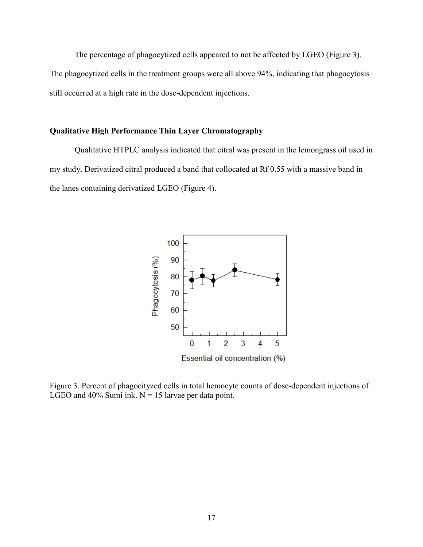The percentage of phagocytized cells appeared to not be affected by LGEO (Figure 3). The phagocytized cells in the treatment groups were all above 94%, indicating that phagocytosis still occurred at a high rate in the dose-dependent injections.

### **Qualitative High Performance Thin Layer Chromatography**

Qualitative HTPLC analysis indicated that citral was present in the lemongrass oil used in my study. Derivatized citral produced a band that collocated at Rf 0.55 with a massive band in the lanes containing derivatized LGEO (Figure 4).



Figure 3. Percent of phagocityzed cells in total hemocyte counts of dose-dependent injections of LGEO and 40% Sumi ink.  $N = 15$  larvae per data point.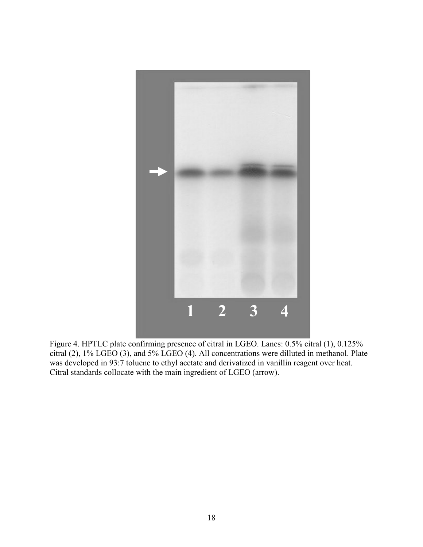

Figure 4. HPTLC plate confirming presence of citral in LGEO. Lanes: 0.5% citral (1), 0.125% citral (2), 1% LGEO (3), and 5% LGEO (4). All concentrations were dilluted in methanol. Plate was developed in 93:7 toluene to ethyl acetate and derivatized in vanillin reagent over heat. Citral standards collocate with the main ingredient of LGEO (arrow).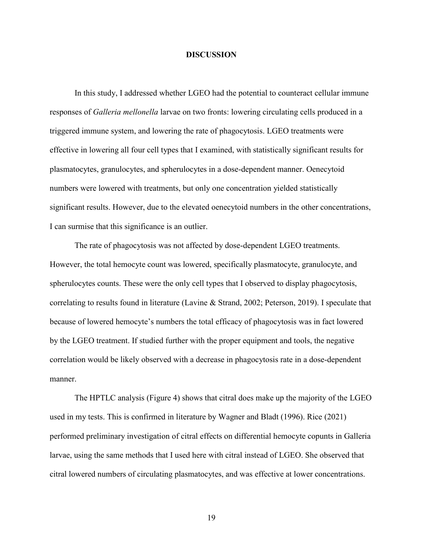#### **DISCUSSION**

In this study, I addressed whether LGEO had the potential to counteract cellular immune responses of *Galleria mellonella* larvae on two fronts: lowering circulating cells produced in a triggered immune system, and lowering the rate of phagocytosis. LGEO treatments were effective in lowering all four cell types that I examined, with statistically significant results for plasmatocytes, granulocytes, and spherulocytes in a dose-dependent manner. Oenecytoid numbers were lowered with treatments, but only one concentration yielded statistically significant results. However, due to the elevated oenecytoid numbers in the other concentrations, I can surmise that this significance is an outlier.

The rate of phagocytosis was not affected by dose-dependent LGEO treatments. However, the total hemocyte count was lowered, specifically plasmatocyte, granulocyte, and spherulocytes counts. These were the only cell types that I observed to display phagocytosis, correlating to results found in literature (Lavine & Strand, 2002; Peterson, 2019). I speculate that because of lowered hemocyte's numbers the total efficacy of phagocytosis was in fact lowered by the LGEO treatment. If studied further with the proper equipment and tools, the negative correlation would be likely observed with a decrease in phagocytosis rate in a dose-dependent manner.

The HPTLC analysis (Figure 4) shows that citral does make up the majority of the LGEO used in my tests. This is confirmed in literature by Wagner and Bladt (1996). Rice (2021) performed preliminary investigation of citral effects on differential hemocyte copunts in Galleria larvae, using the same methods that I used here with citral instead of LGEO. She observed that citral lowered numbers of circulating plasmatocytes, and was effective at lower concentrations.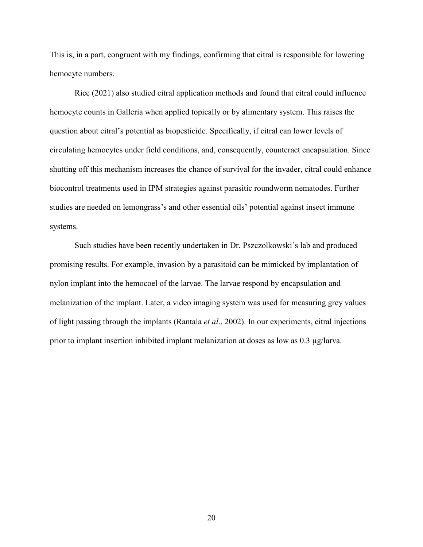This is, in a part, congruent with my findings, confirming that citral is responsible for lowering hemocyte numbers.

Rice (2021) also studied citral application methods and found that citral could influence hemocyte counts in Galleria when applied topically or by alimentary system. This raises the question about citral's potential as biopesticide. Specifically, if citral can lower levels of circulating hemocytes under field conditions, and, consequently, counteract encapsulation. Since shutting off this mechanism increases the chance of survival for the invader, citral could enhance biocontrol treatments used in IPM strategies against parasitic roundworm nematodes. Further studies are needed on lemongrass's and other essential oils' potential against insect immune systems.

Such studies have been recently undertaken in Dr. Pszczolkowski's lab and produced promising results. For example, invasion by a parasitoid can be mimicked by implantation of nylon implant into the hemocoel of the larvae. The larvae respond by encapsulation and melanization of the implant. Later, a video imaging system was used for measuring grey values of light passing through the implants (Rantala *et al*., 2002). In our experiments, citral injections prior to implant insertion inhibited implant melanization at doses as low as 0.3 µg/larva.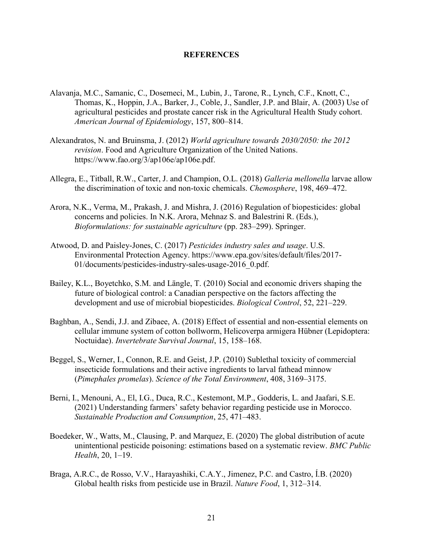#### **REFERENCES**

- Alavanja, M.C., Samanic, C., Dosemeci, M., Lubin, J., Tarone, R., Lynch, C.F., Knott, C., Thomas, K., Hoppin, J.A., Barker, J., Coble, J., Sandler, J.P. and Blair, A. (2003) Use of agricultural pesticides and prostate cancer risk in the Agricultural Health Study cohort. *American Journal of Epidemiology*, 157, 800–814.
- Alexandratos, N. and Bruinsma, J. (2012) *World agriculture towards 2030/2050: the 2012 revision*. Food and Agriculture Organization of the United Nations. https://www.fao.org/3/ap106e/ap106e.pdf.
- Allegra, E., Titball, R.W., Carter, J. and Champion, O.L. (2018) *Galleria mellonella* larvae allow the discrimination of toxic and non-toxic chemicals. *Chemosphere*, 198, 469–472.
- Arora, N.K., Verma, M., Prakash, J. and Mishra, J. (2016) Regulation of biopesticides: global concerns and policies. In N.K. Arora, Mehnaz S. and Balestrini R. (Eds.), *Bioformulations: for sustainable agriculture* (pp. 283–299). Springer.
- Atwood, D. and Paisley-Jones, C. (2017) *Pesticides industry sales and usage*. U.S. Environmental Protection Agency. https://www.epa.gov/sites/default/files/2017- 01/documents/pesticides-industry-sales-usage-2016\_0.pdf.
- Bailey, K.L., Boyetchko, S.M. and Längle, T. (2010) Social and economic drivers shaping the future of biological control: a Canadian perspective on the factors affecting the development and use of microbial biopesticides. *Biological Control*, 52, 221–229.
- Baghban, A., Sendi, J.J. and Zibaee, A. (2018) Effect of essential and non-essential elements on cellular immune system of cotton bollworm, Helicoverpa armigera Hübner (Lepidoptera: Noctuidae). *Invertebrate Survival Journal*, 15, 158–168.
- Beggel, S., Werner, I., Connon, R.E. and Geist, J.P. (2010) Sublethal toxicity of commercial insecticide formulations and their active ingredients to larval fathead minnow (*Pimephales promelas*). *Science of the Total Environment*, 408, 3169–3175.
- Berni, I., Menouni, A., El, I.G., Duca, R.C., Kestemont, M.P., Godderis, L. and Jaafari, S.E. (2021) Understanding farmers' safety behavior regarding pesticide use in Morocco. *Sustainable Production and Consumption*, 25, 471–483.
- Boedeker, W., Watts, M., Clausing, P. and Marquez, E. (2020) The global distribution of acute unintentional pesticide poisoning: estimations based on a systematic review. *BMC Public Health*, 20, 1–19.
- Braga, A.R.C., de Rosso, V.V., Harayashiki, C.A.Y., Jimenez, P.C. and Castro, Í.B. (2020) Global health risks from pesticide use in Brazil. *Nature Food*, 1, 312–314.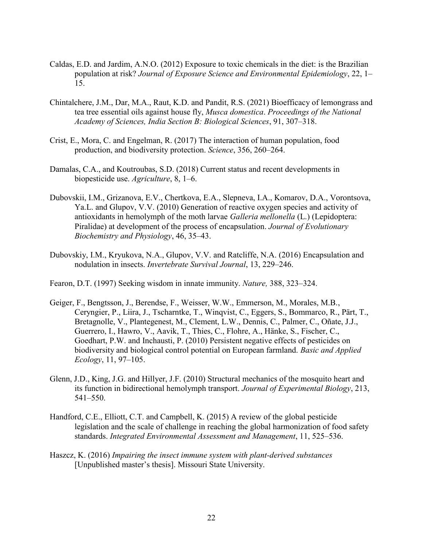- Caldas, E.D. and Jardim, A.N.O. (2012) Exposure to toxic chemicals in the diet: is the Brazilian population at risk? *Journal of Exposure Science and Environmental Epidemiology*, 22, 1– 15.
- Chintalchere, J.M., Dar, M.A., Raut, K.D. and Pandit, R.S. (2021) Bioefficacy of lemongrass and tea tree essential oils against house fly, *Musca domestica*. *Proceedings of the National Academy of Sciences, India Section B: Biological Sciences*, 91, 307–318.
- Crist, E., Mora, C. and Engelman, R. (2017) The interaction of human population, food production, and biodiversity protection. *Science*, 356, 260–264.
- Damalas, C.A., and Koutroubas, S.D. (2018) Current status and recent developments in biopesticide use. *Agriculture*, 8, 1–6.
- Dubovskii, I.M., Grizanova, E.V., Chertkova, E.A., Slepneva, I.A., Komarov, D.A., Vorontsova, Ya.L. and Glupov, V.V. (2010) Generation of reactive oxygen species and activity of antioxidants in hemolymph of the moth larvae *Galleria mellonella* (L.) (Lepidoptera: Piralidae) at development of the process of encapsulation. *Journal of Evolutionary Biochemistry and Physiology*, 46, 35–43.
- Dubovskiy, I.M., Kryukova, N.A., Glupov, V.V. and Ratcliffe, N.A. (2016) Encapsulation and nodulation in insects. *Invertebrate Survival Journal*, 13, 229–246.
- Fearon, D.T. (1997) Seeking wisdom in innate immunity. *Nature,* 388, 323–324.
- Geiger, F., Bengtsson, J., Berendse, F., Weisser, W.W., Emmerson, M., Morales, M.B., Ceryngier, P., Liira, J., Tscharntke, T., Winqvist, C., Eggers, S., Bommarco, R., Pärt, T., Bretagnolle, V., Plantegenest, M., Clement, L.W., Dennis, C., Palmer, C., Oñate, J.J., Guerrero, I., Hawro, V., Aavik, T., Thies, C., Flohre, A., Hänke, S., Fischer, C., Goedhart, P.W. and Inchausti, P. (2010) Persistent negative effects of pesticides on biodiversity and biological control potential on European farmland. *Basic and Applied Ecology*, 11, 97–105.
- Glenn, J.D., King, J.G. and Hillyer, J.F. (2010) Structural mechanics of the mosquito heart and its function in bidirectional hemolymph transport. *Journal of Experimental Biology*, 213, 541–550.
- Handford, C.E., Elliott, C.T. and Campbell, K. (2015) A review of the global pesticide legislation and the scale of challenge in reaching the global harmonization of food safety standards. *Integrated Environmental Assessment and Management*, 11, 525–536.
- Haszcz, K. (2016) *Impairing the insect immune system with plant-derived substances* [Unpublished master's thesis]. Missouri State University.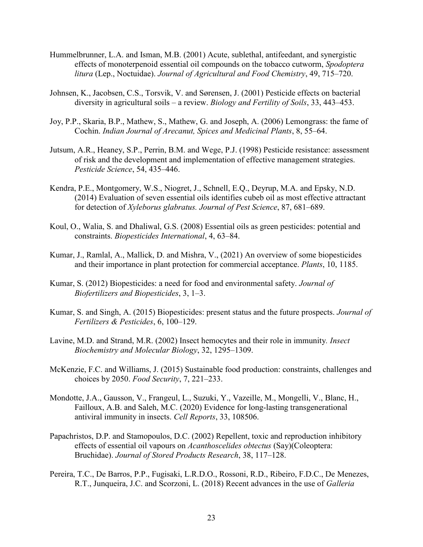- Hummelbrunner, L.A. and Isman, M.B. (2001) Acute, sublethal, antifeedant, and synergistic effects of monoterpenoid essential oil compounds on the tobacco cutworm, *Spodoptera litura* (Lep., Noctuidae). *Journal of Agricultural and Food Chemistry*, 49, 715–720.
- Johnsen, K., Jacobsen, C.S., Torsvik, V. and Sørensen, J. (2001) Pesticide effects on bacterial diversity in agricultural soils – a review. *Biology and Fertility of Soils*, 33, 443–453.
- Joy, P.P., Skaria, B.P., Mathew, S., Mathew, G. and Joseph, A. (2006) Lemongrass: the fame of Cochin. *Indian Journal of Arecanut, Spices and Medicinal Plants*, 8, 55–64.
- Jutsum, A.R., Heaney, S.P., Perrin, B.M. and Wege, P.J. (1998) Pesticide resistance: assessment of risk and the development and implementation of effective management strategies. *Pesticide Science*, 54, 435–446.
- Kendra, P.E., Montgomery, W.S., Niogret, J., Schnell, E.Q., Deyrup, M.A. and Epsky, N.D. (2014) Evaluation of seven essential oils identifies cubeb oil as most effective attractant for detection of *Xyleborus glabratus. Journal of Pest Science*, 87, 681–689.
- Koul, O., Walia, S. and Dhaliwal, G.S. (2008) Essential oils as green pesticides: potential and constraints. *Biopesticides International*, 4, 63–84.
- Kumar, J., Ramlal, A., Mallick, D. and Mishra, V., (2021) An overview of some biopesticides and their importance in plant protection for commercial acceptance. *Plants*, 10, 1185.
- Kumar, S. (2012) Biopesticides: a need for food and environmental safety. *Journal of Biofertilizers and Biopesticides*, 3, 1–3.
- Kumar, S. and Singh, A. (2015) Biopesticides: present status and the future prospects. *Journal of Fertilizers & Pesticides*, 6, 100–129.
- Lavine, M.D. and Strand, M.R. (2002) Insect hemocytes and their role in immunity*. Insect Biochemistry and Molecular Biology*, 32, 1295–1309.
- McKenzie, F.C. and Williams, J. (2015) Sustainable food production: constraints, challenges and choices by 2050. *Food Security*, 7, 221–233.
- Mondotte, J.A., Gausson, V., Frangeul, L., Suzuki, Y., Vazeille, M., Mongelli, V., Blanc, H., Failloux, A.B. and Saleh, M.C. (2020) Evidence for long-lasting transgenerational antiviral immunity in insects. *Cell Reports*, 33, 108506.
- Papachristos, D.P. and Stamopoulos, D.C. (2002) Repellent, toxic and reproduction inhibitory effects of essential oil vapours on *Acanthoscelides obtectus* (Say)(Coleoptera: Bruchidae). *Journal of Stored Products Research*, 38, 117–128.
- Pereira, T.C., De Barros, P.P., Fugisaki, L.R.D.O., Rossoni, R.D., Ribeiro, F.D.C., De Menezes, R.T., Junqueira, J.C. and Scorzoni, L. (2018) Recent advances in the use of *Galleria*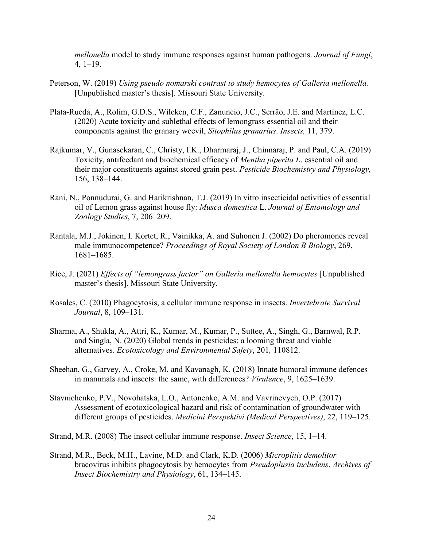*mellonella* model to study immune responses against human pathogens. *Journal of Fungi*, 4, 1–19.

- Peterson, W. (2019) *Using pseudo nomarski contrast to study hemocytes of Galleria mellonella.* [Unpublished master's thesis]. Missouri State University.
- Plata-Rueda, A., Rolim, G.D.S., Wilcken, C.F., Zanuncio, J.C., Serrão, J.E. and Martínez, L.C. (2020) Acute toxicity and sublethal effects of lemongrass essential oil and their components against the granary weevil, *Sitophilus granarius*. *Insects,* 11, 379.
- Rajkumar, V., Gunasekaran, C., Christy, I.K., Dharmaraj, J., Chinnaraj, P. and Paul, C.A. (2019) Toxicity, antifeedant and biochemical efficacy of *Mentha piperita L*. essential oil and their major constituents against stored grain pest. *Pesticide Biochemistry and Physiology,*  156, 138–144.
- Rani, N., Ponnudurai, G. and Harikrishnan, T.J. (2019) In vitro insecticidal activities of essential oil of Lemon grass against house fly: *Musca domestica* L. *Journal of Entomology and Zoology Studies*, 7, 206–209.
- Rantala, M.J., Jokinen, I. Kortet, R., Vainikka, A. and Suhonen J. (2002) Do pheromones reveal male immunocompetence? *Proceedings of Royal Society of London B Biology*, 269, 1681–1685.
- Rice, J. (2021) *Effects of "lemongrass factor" on Galleria mellonella hemocytes* [Unpublished master's thesis]. Missouri State University.
- Rosales, C. (2010) Phagocytosis, a cellular immune response in insects. *Invertebrate Survival Journal*, 8, 109–131.
- Sharma, A., Shukla, A., Attri, K., Kumar, M., Kumar, P., Suttee, A., Singh, G., Barnwal, R.P. and Singla, N. (2020) Global trends in pesticides: a looming threat and viable alternatives. *Ecotoxicology and Environmental Safety*, 201*,* 110812.
- Sheehan, G., Garvey, A., Croke, M. and Kavanagh, K. (2018) Innate humoral immune defences in mammals and insects: the same, with differences? *Virulence*, 9, 1625–1639.
- Stavnichenko, P.V., Novohatska, L.O., Antonenko, A.M. and Vavrinevych, O.P. (2017) Assessment of ecotoxicological hazard and risk of contamination of groundwater with different groups of pesticides. *Medicini Perspektivi (Medical Perspectives)*, 22, 119–125.
- Strand, M.R. (2008) The insect cellular immune response. *Insect Science*, 15, 1–14.
- Strand, M.R., Beck, M.H., Lavine, M.D. and Clark, K.D. (2006) *Microplitis demolitor*  bracovirus inhibits phagocytosis by hemocytes from *Pseudoplusia includens*. *Archives of Insect Biochemistry and Physiology*, 61, 134–145.